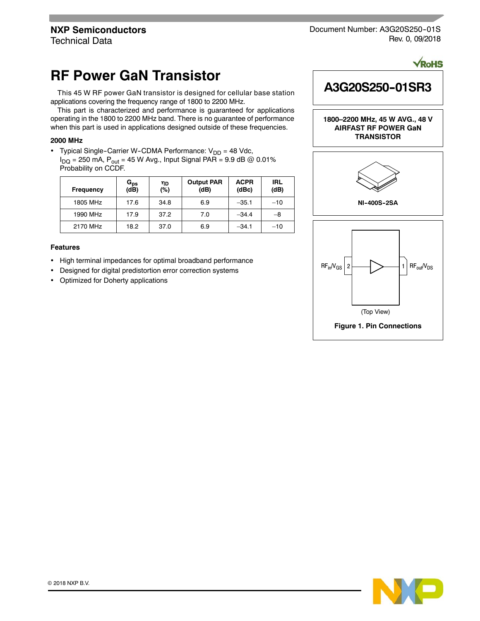Document Number: A3G20S250-01S Rev. 0, 09/2018

# **RF Power GaN Transistor**

This 45 W RF power GaN transistor is designed for cellular base station applications covering the frequency range of 1800 to 2200 MHz.

This part is characterized and performance is guaranteed for applications operating in the 1800 to 2200 MHz band. There is no guarantee of performance when this part is used in applications designed outside of these frequencies.

### **2000 MHz**

• Typical Single-Carrier W-CDMA Performance:  $V_{DD} = 48$  Vdc,  $I_{DQ}$  = 250 mA,  $P_{out}$  = 45 W Avg., Input Signal PAR = 9.9 dB @ 0.01% Probability on CCDF.

| Frequency | $G_{\mathsf{ps}}$<br>(dB) | ηD<br>(%) | <b>Output PAR</b><br>(dB) | <b>ACPR</b><br>(dBc) | IRL<br>(dB) |
|-----------|---------------------------|-----------|---------------------------|----------------------|-------------|
| 1805 MHz  | 17.6                      | 34.8      | 6.9                       | $-35.1$              | $-10$       |
| 1990 MHz  | 17.9                      | 37.2      | 7.0                       | $-34.4$              | -8          |
| 2170 MHz  | 18.2                      | 37.0      | 6.9                       | $-34.1$              | $-10$       |

### **Features**

- High terminal impedances for optimal broadband performance
- Designed for digital predistortion error correction systems
- Optimized for Doherty applications



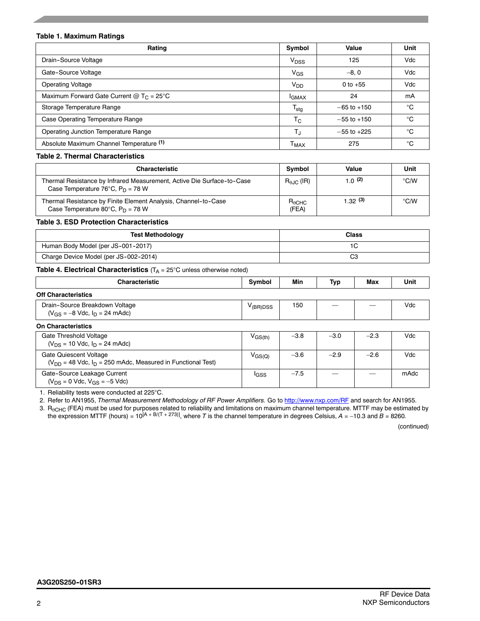### **Table 1. Maximum Ratings**

| Rating                                              | Symbol                    | Value           | Unit         |
|-----------------------------------------------------|---------------------------|-----------------|--------------|
| Drain-Source Voltage                                | V <sub>DSS</sub>          | 125             | Vdc          |
| Gate-Source Voltage                                 | V <sub>GS</sub>           | $-8.0$          | Vdc          |
| <b>Operating Voltage</b>                            | V <sub>DD</sub>           | 0 to $+55$      | Vdc          |
| Maximum Forward Gate Current @ $T_c = 25^{\circ}$ C | <b>IGMAX</b>              | 24              | mA           |
| Storage Temperature Range                           | $\mathsf{T_{\text{stg}}}$ | $-65$ to $+150$ | $^{\circ}$ C |
| Case Operating Temperature Range                    | Тc                        | $-55$ to $+150$ | $^{\circ}$ C |
| <b>Operating Junction Temperature Range</b>         | TJ                        | $-55$ to $+225$ | $^{\circ}$ C |
| Absolute Maximum Channel Temperature (1)            | Тмах                      | 275             | °C           |

# **Table 2. Thermal Characteristics**

| Characteristic                                                                                                            | Symbol                   | Value     | Unit |
|---------------------------------------------------------------------------------------------------------------------------|--------------------------|-----------|------|
| Thermal Resistance by Infrared Measurement, Active Die Surface-to-Case<br>Case Temperature 76°C, $P_D = 78$ W             | $R_{A,IC}$ (IR)          | 1.0 $(2)$ | °C/W |
| Thermal Resistance by Finite Element Analysis, Channel-to-Case<br>Case Temperature 80 $^{\circ}$ C, P <sub>D</sub> = 78 W | $R_{\theta$ CHC<br>(FEA) | 1.32(3)   | °C/W |

### **Table 3. ESD Protection Characteristics**

| <b>Test Methodology</b>               | <b>Class</b> |
|---------------------------------------|--------------|
| Human Body Model (per JS-001-2017)    |              |
| Charge Device Model (per JS-002-2014) | r,<br>v      |

### **Table 4. Electrical Characteristics** (T<sub>A</sub> = 25°C unless otherwise noted)

| <b>Characteristic</b>                                                                        | Symbol                                  | Min    | Тур    | Max    | Unit |  |  |  |
|----------------------------------------------------------------------------------------------|-----------------------------------------|--------|--------|--------|------|--|--|--|
| <b>Off Characteristics</b>                                                                   |                                         |        |        |        |      |  |  |  |
| Drain-Source Breakdown Voltage<br>$(V_{GS} = -8$ Vdc, $I_D = 24$ mAdc)                       | $V_{(BR)DSS}$                           | 150    |        |        | Vdc  |  |  |  |
| <b>On Characteristics</b>                                                                    |                                         |        |        |        |      |  |  |  |
| Gate Threshold Voltage<br>$(V_{DS} = 10$ Vdc, $I_D = 24$ mAdc)                               | $\mathsf{V}_{\mathsf{GS}(\mathsf{th})}$ | $-3.8$ | $-3.0$ | $-2.3$ | Vdc  |  |  |  |
| Gate Quiescent Voltage<br>$(V_{DD} = 48$ Vdc, $I_D = 250$ mAdc, Measured in Functional Test) | $V_{\rm GS(Q)}$                         | $-3.6$ | $-2.9$ | $-2.6$ | Vdc  |  |  |  |
| Gate-Source Leakage Current<br>$(V_{DS} = 0$ Vdc, $V_{GS} = -5$ Vdc)                         | <sup>I</sup> GSS                        | $-7.5$ |        |        | mAdc |  |  |  |

1. Reliability tests were conducted at 225°C.

2. Refer to AN1955, *Thermal Measurement Methodology of RF Power Amplifiers.* Go to http://www.nxp.com/RF and search for AN1955.

3.  $\mathsf{R}_{\theta\textsf{CHC}}$  (FEA) must be used for purposes related to reliability and limitations on maximum channel temperature. MTTF may be estimated by the expression MTTF (hours) = 10<sup>[A + B/(T + 273)], where  $T$  is the channel temperature in degrees Celsius,  $A$  = –10.3 and  $B$  = 8260.</sup>

(continued)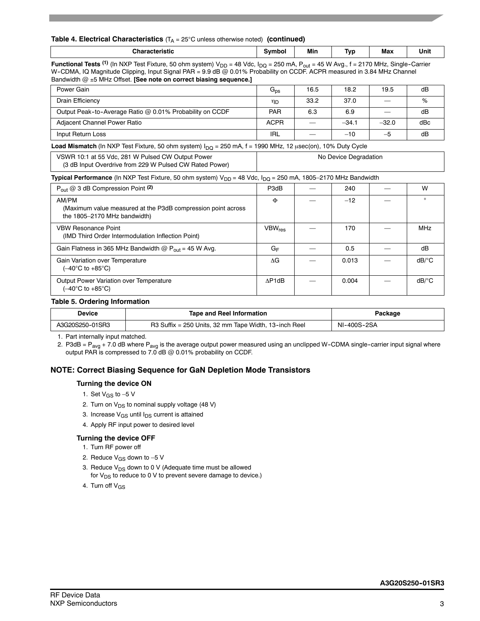### **Table 4. Electrical Characteristics** (T<sub>A</sub> = 25°C unless otherwise noted) (continued)

| المتعامد والمستور والأنا | Min | $\overline{\phantom{a}}$<br>Ñ۲ | Max | Unit |
|--------------------------|-----|--------------------------------|-----|------|
| $\overline{a}$           |     |                                |     |      |

**Functional Tests** (1) (In NXP Test Fixture, 50 ohm system)  $V_{DD}$  = 48 Vdc,  $I_{DQ}$  = 250 mA,  $P_{out}$  = 45 W Avg., f = 2170 MHz, Single-Carrier W-CDMA, IQ Magnitude Clipping, Input Signal PAR = 9.9 dB @ 0.01% Probability on CCDF. ACPR measured in 3.84 MHz Channel Bandwidth @ ±5 MHz Offset. **[See note on correct biasing sequence.]** 

| Power Gain                                               | $G_{\text{ps}}$ | 16.5 | 18.2    | 19.5                     | dB  |
|----------------------------------------------------------|-----------------|------|---------|--------------------------|-----|
| Drain Efficiency                                         | ηD              | 33.2 | 37.0    | $\overline{\phantom{a}}$ | %   |
| Output Peak-to-Average Ratio @ 0.01% Probability on CCDF | <b>PAR</b>      | 6.3  | 6.9     |                          | dB  |
| Adjacent Channel Power Ratio                             |                 |      | $-34.1$ | $-32.0$                  | dBc |
| Input Return Loss                                        | IRL             |      | $-10$   | $-5$                     | dB  |

Load Mismatch (In NXP Test Fixture, 50 ohm system) I<sub>DQ</sub> = 250 mA, f = 1990 MHz, 12 µsec(on), 10% Duty Cycle

| VSWR 10:1 at 55 Vdc, 281 W Pulsed CW Output Power<br>(3 dB Input Overdrive from 229 W Pulsed CW Rated Power) | No Device Degradation |
|--------------------------------------------------------------------------------------------------------------|-----------------------|
|                                                                                                              |                       |

Typical Performance (In NXP Test Fixture, 50 ohm system) V<sub>DD</sub> = 48 Vdc, I<sub>DQ</sub> = 250 mA, 1805–2170 MHz Bandwidth

| $P_{\text{out}} @ 3 dB$ Compression Point (2)                                                         | P3dB                      | 240   | W                     |
|-------------------------------------------------------------------------------------------------------|---------------------------|-------|-----------------------|
| AM/PM<br>(Maximum value measured at the P3dB compression point across<br>the 1805-2170 MHz bandwidth) | Φ                         | $-12$ | $\Omega$              |
| <b>VBW Resonance Point</b><br>(IMD Third Order Intermodulation Inflection Point)                      | <b>VBW</b> <sub>res</sub> | 170   | <b>MHz</b>            |
| Gain Flatness in 365 MHz Bandwidth $@P_{out} = 45$ W Avg.                                             | GF                        | 0.5   | dB                    |
| Gain Variation over Temperature<br>(–40°C to +85°C)                                                   | ΛG                        | 0.013 | $dB$ <sup>o</sup> $C$ |
| Output Power Variation over Temperature<br>(–40°C to +85°C)                                           | AP1dB                     | 0.004 | $dB$ <sup>o</sup> C   |

### **Table 5. Ordering Information**

| Device          | <b>Tape and Reel Information</b>                      | Package     |
|-----------------|-------------------------------------------------------|-------------|
| A3G20S250-01SR3 | R3 Suffix = 250 Units, 32 mm Tape Width, 13-inch Reel | NI-400S-2SA |

1. Part internally input matched.

2. P3dB =  $P_{avg}$  + 7.0 dB where  $P_{avg}$  is the average output power measured using an unclipped W-CDMA single-carrier input signal where output PAR is compressed to 7.0 dB @ 0.01% probability on CCDF.

### **NOTE: Correct Biasing Sequence for GaN Depletion Mode Transistors**

### **Turning the device ON**

- 1. Set  $V_{GS}$  to  $-5$  V
- 2. Turn on  $V_{DS}$  to nominal supply voltage (48 V)
- 3. Increase  $V_{GS}$  until  $I_{DS}$  current is attained
- 4. Apply RF input power to desired level

### **Turning the device OFF**

- 1. Turn RF power off
- 2. Reduce  $V_{GS}$  down to -5 V
- 3. Reduce  $V_{DS}$  down to 0 V (Adequate time must be allowed for  $V_{DS}$  to reduce to 0 V to prevent severe damage to device.)
- 4. Turn off V<sub>GS</sub>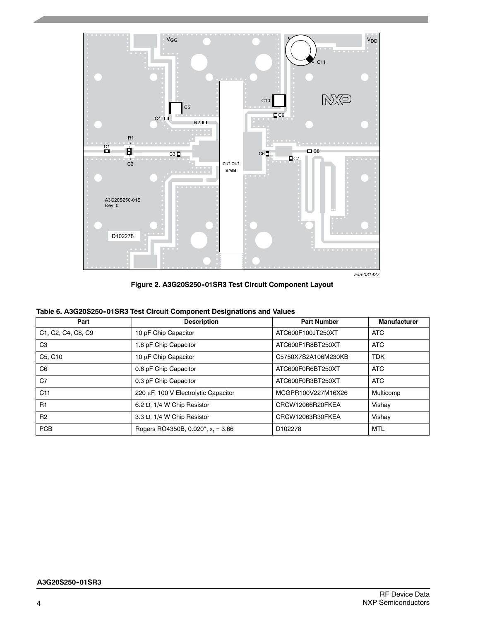

**Figure 2. A3G20S250--01SR3 Test Circuit Component Layout**

|  |  | Table 6. A3G20S250-01SR3 Test Circuit Component Designations and Values |  |
|--|--|-------------------------------------------------------------------------|--|
|  |  |                                                                         |  |

| Part               | <b>Description</b>                          | <b>Part Number</b>  | <b>Manufacturer</b> |
|--------------------|---------------------------------------------|---------------------|---------------------|
| C1, C2, C4, C8, C9 | 10 pF Chip Capacitor                        | ATC600F100JT250XT   | <b>ATC</b>          |
| C <sub>3</sub>     | 1.8 pF Chip Capacitor                       | ATC600F1R8BT250XT   | <b>ATC</b>          |
| C5, C10            | 10 µF Chip Capacitor                        | C5750X7S2A106M230KB | <b>TDK</b>          |
| C <sub>6</sub>     | 0.6 pF Chip Capacitor                       | ATC600F0R6BT250XT   | <b>ATC</b>          |
| C <sub>7</sub>     | 0.3 pF Chip Capacitor                       | ATC600F0R3BT250XT   | <b>ATC</b>          |
| C <sub>11</sub>    | 220 µF, 100 V Electrolytic Capacitor        | MCGPR100V227M16X26  | Multicomp           |
| R1                 | 6.2 $\Omega$ , 1/4 W Chip Resistor          | CRCW12066R20FKEA    | Vishay              |
| R <sub>2</sub>     | 3.3 Q, 1/4 W Chip Resistor                  | CRCW12063R30FKEA    | Vishay              |
| <b>PCB</b>         | Rogers RO4350B, 0.020", $\epsilon_r = 3.66$ | D <sub>102278</sub> | <b>MTL</b>          |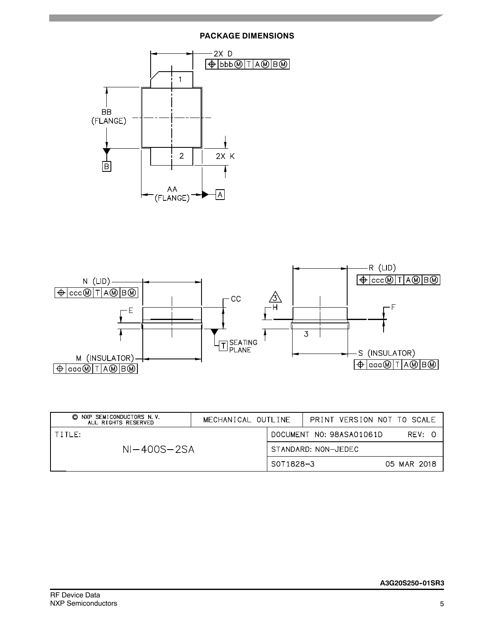# **PACKAGE DIMENSIONS**





| NXP SEMICONDUCTORS N.V.<br>O<br>ALL RIGHTS RESERVED | MECHANICAL OUTLINE |           |                     | PRINT VERSION NOT TO SCALE |             |        |  |
|-----------------------------------------------------|--------------------|-----------|---------------------|----------------------------|-------------|--------|--|
| TTITLE                                              |                    |           |                     | DOCUMENT NO: 98ASA01061D   |             | RFV: 0 |  |
| $NI-400S-2SA$                                       |                    |           | STANDARD: NON-JEDEC |                            |             |        |  |
|                                                     |                    | S0T1828-3 |                     |                            | 05 MAR 2018 |        |  |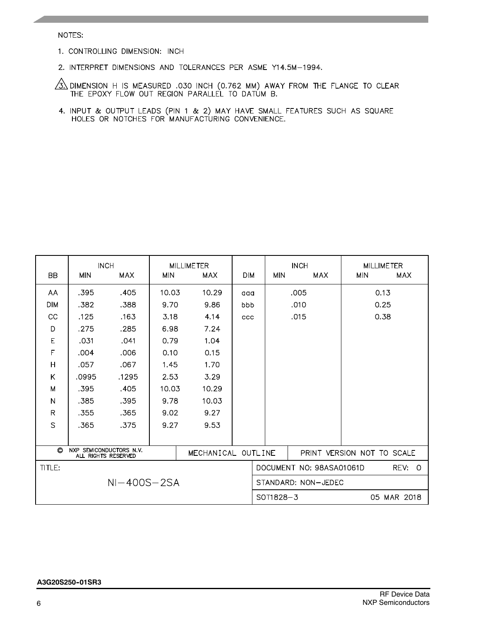### NOTES:

- 1. CONTROLLING DIMENSION: INCH
- 2. INTERPRET DIMENSIONS AND TOLERANCES PER ASME Y14.5M-1994.

 $\frac{\sqrt{3}}{3}$  dimension H is measured .030 inch (0.762 MM) AWAY FROM THE FLANGE TO CLEAR THE EPOXY FLOW OUT REGION PARALLEL TO DATUM B.

4. INPUT & OUTPUT LEADS (PIN 1 & 2) MAY HAVE SMALL FEATURES SUCH AS SQUARE HOLES OR NOTCHES FOR MANUFACTURING CONVENIENCE.

| <b>BB</b>     | <b>MIN</b>                                               | <b>INCH</b><br><b>MAX</b> | <b>MIN</b> | <b>MILLIMETER</b><br><b>MAX</b> | <b>DIM</b>         | <b>MIN</b>          | <b>INCH</b><br><b>MAX</b>  | <b>MILLIMETER</b><br><b>MIN</b> | <b>MAX</b>  |
|---------------|----------------------------------------------------------|---------------------------|------------|---------------------------------|--------------------|---------------------|----------------------------|---------------------------------|-------------|
| AA            | .395                                                     | .405                      | 10.03      | 10.29                           | aaa                |                     | .005                       | 0.13                            |             |
| <b>DIM</b>    | .382                                                     | .388                      | 9.70       | 9.86                            | bbb                |                     | .010                       | 0.25                            |             |
| CC            | .125                                                     | .163                      | 3.18       | 4.14                            | ccc                |                     | .015                       | 0.38                            |             |
| D             | .275                                                     | .285                      | 6.98       | 7.24                            |                    |                     |                            |                                 |             |
| E             | .031                                                     | .041                      | 0.79       | 1.04                            |                    |                     |                            |                                 |             |
| $\mathsf F$   | .004                                                     | .006                      | 0.10       | 0.15                            |                    |                     |                            |                                 |             |
| H             | .057                                                     | .067                      | 1.45       | 1.70                            |                    |                     |                            |                                 |             |
| K             | .0995                                                    | .1295                     | 2.53       | 3.29                            |                    |                     |                            |                                 |             |
| M             | .395                                                     | .405                      | 10.03      | 10.29                           |                    |                     |                            |                                 |             |
| N             | .385                                                     | .395                      | 9.78       | 10.03                           |                    |                     |                            |                                 |             |
| $\mathsf{R}$  | .355                                                     | .365                      | 9.02       | 9.27                            |                    |                     |                            |                                 |             |
| $\mathsf{S}$  | .365                                                     | .375                      | 9.27       | 9.53                            |                    |                     |                            |                                 |             |
|               |                                                          |                           |            |                                 |                    |                     |                            |                                 |             |
| O             | SEMICONDUCTORS N.V.<br><b>NXP</b><br>ALL RIGHTS RESERVED |                           |            |                                 | MECHANICAL OUTLINE |                     | PRINT VERSION NOT TO SCALE |                                 |             |
| TITLE:        |                                                          |                           |            |                                 |                    |                     | DOCUMENT NO: 98ASA01061D   |                                 | REV: 0      |
| $NI-400S-2SA$ |                                                          |                           |            |                                 |                    | STANDARD: NON-JEDEC |                            |                                 |             |
|               |                                                          |                           |            |                                 |                    | SOT1828-3           |                            |                                 | 05 MAR 2018 |

### **A3G20S250--01SR3**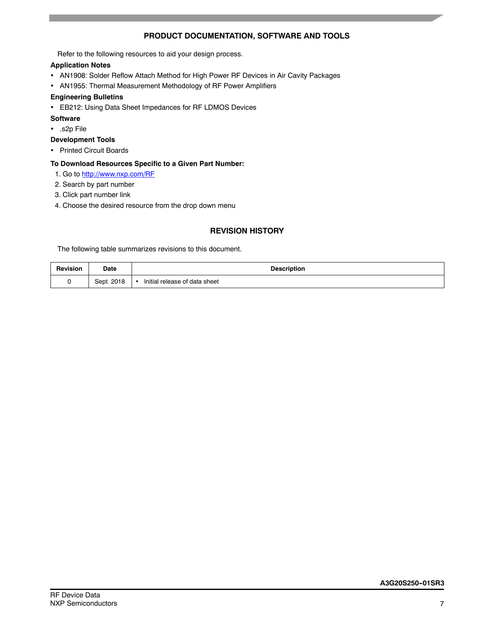# **PRODUCT DOCUMENTATION, SOFTWARE AND TOOLS**

Refer to the following resources to aid your design process.

# **Application Notes**

- AN1908: Solder Reflow Attach Method for High Power RF Devices in Air Cavity Packages
- AN1955: Thermal Measurement Methodology of RF Power Amplifiers

### **Engineering Bulletins**

EB212: Using Data Sheet Impedances for RF LDMOS Devices

### **Software**

- .s2p File
- **Development Tools**
- Printed Circuit Boards

### **To Download Resources Specific to a Given Part Number:**

- 1. Go to http://www.nxp.com/RF
- 2. Search by part number
- 3. Click part number link
- 4. Choose the desired resource from the drop down menu

# **REVISION HISTORY**

The following table summarizes revisions to this document.

| Revision | Date       | <b>Description</b>                         |
|----------|------------|--------------------------------------------|
|          | Sept. 2018 | Initial release of data sheet<br>$\bullet$ |